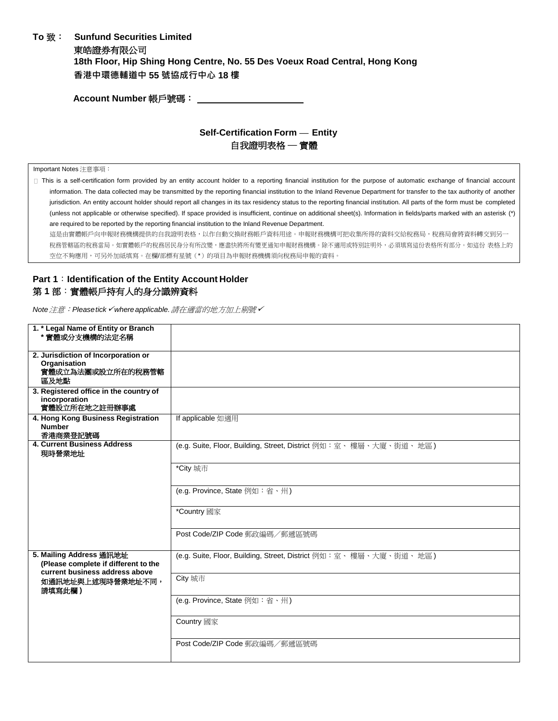# **To** 致: **Sunfund Securities Limited** 東皓證券有限公司 **18th Floor, Hip Shing Hong Centre, No. 55 Des Voeux Road Central, Hong Kong 香港中環德輔道中 55 號協成行中心 18 樓**

 **Account Number** 帳戶號碼:

## **Self-Certification Form — Entity** 自我證明表格 ─ 實體

#### Important Notes 注意事項:

 $\Box$  This is a self-certification form provided by an entity account holder to a reporting financial institution for the purpose of automatic exchange of financial account information. The data collected may be transmitted by the reporting financial institution to the Inland Revenue Department for transfer to the tax authority of another jurisdiction. An entity account holder should report all changes in its tax residency status to the reporting financial institution. All parts of the form must be completed (unless not applicable or otherwise specified). If space provided is insufficient, continue on additional sheet(s). Information in fields/parts marked with an asterisk (\*) are required to be reported by the reporting financial institution to the Inland Revenue Department.

這是由實體帳戶向申報財務機構提供的自我證明表格,以作自動交換財務帳戶資料用途。申報財務機構可把收集所得的資料交給稅務局,稅務局會將資料轉交到另一 稅務管轄區的稅務當局。如實體帳戶的稅務居民身分有所改變,應盡快將所有變更通知申報財務機構。除不適用或特別註明外,必須填寫這份表格所有部分。如這份 表格上的 空位不夠應用,可另外加紙填寫。在欄/部標有星號(\*)的項目為申報財務機構須向稅務局申報的資料。

#### **Part 1**:**Identification of the Entity Account Holder** 第 **1** 部:實體帳戶持有人的身分識辨資料

*Note*注意:*Pleasetick*✓*whereapplicable.*請在適當的地方加上剔號✓

| 1. * Legal Name of Entity or Branch<br>*實體或分支機構的法定名稱                                              |                                                                  |
|---------------------------------------------------------------------------------------------------|------------------------------------------------------------------|
| 2. Jurisdiction of Incorporation or<br>Organisation<br>實體成立為法團或設立所在的稅務管轄<br>區及地點                  |                                                                  |
| 3. Registered office in the country of<br>incorporation<br>實體設立所在地之註冊辦事處                          |                                                                  |
| 4. Hong Kong Business Registration<br><b>Number</b><br>香港商業登記號碼                                   | If applicable 如適用                                                |
| 4. Current Business Address<br>現時營業地址                                                             | (e.g. Suite, Floor, Building, Street, District 例如:室、樓層、大廈、街道、地區) |
|                                                                                                   | *City 城市                                                         |
|                                                                                                   | (e.g. Province, State 例如:省、州)                                    |
|                                                                                                   | *Country 國家                                                      |
|                                                                                                   | Post Code/ZIP Code 郵政編碼/郵遞區號碼                                    |
| 5. Mailing Address 通訊地址<br>(Please complete if different to the<br>current business address above | (e.g. Suite, Floor, Building, Street, District 例如:室、樓層、大廈、街道、地區) |
| 如通訊地址與上述現時營業地址不同,<br>請填寫此欄)                                                                       | City 城市                                                          |
|                                                                                                   | (e.g. Province, State 例如:省、州)                                    |
|                                                                                                   | Country 國家                                                       |
|                                                                                                   | Post Code/ZIP Code 郵政編碼/郵遞區號碼                                    |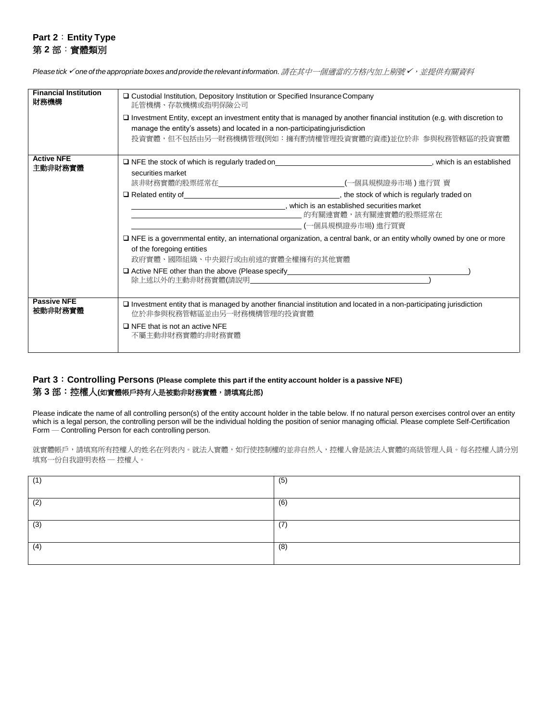| <b>Financial Institution</b><br>財務機構 | □ Custodial Institution, Depository Institution or Specified Insurance Company<br>託管機構、存款機構或指明保險公司                                                                                                                             |                                                                                             |  |  |
|--------------------------------------|--------------------------------------------------------------------------------------------------------------------------------------------------------------------------------------------------------------------------------|---------------------------------------------------------------------------------------------|--|--|
|                                      | $\Box$ Investment Entity, except an investment entity that is managed by another financial institution (e.g. with discretion to<br>manage the entity's assets) and located in a non-participating jurisdiction                 |                                                                                             |  |  |
|                                      |                                                                                                                                                                                                                                |                                                                                             |  |  |
|                                      |                                                                                                                                                                                                                                | 投資實體,但不包括由另一財務機構管理(例如:擁有酌情權管理投資實體的資產)並位於非 参與稅務管轄區的投資實體                                      |  |  |
| <b>Active NFE</b>                    |                                                                                                                                                                                                                                | The stock of which is regularly traded on the state of the state of which is an established |  |  |
| 主動非財務實體                              | securities market                                                                                                                                                                                                              |                                                                                             |  |  |
|                                      |                                                                                                                                                                                                                                |                                                                                             |  |  |
|                                      | Related entity of Communication Communication Communication Communication Communication Communication Communication Communication Communication Communication Communication Communication Communication Communication Communic |                                                                                             |  |  |
|                                      |                                                                                                                                                                                                                                |                                                                                             |  |  |
|                                      |                                                                                                                                                                                                                                |                                                                                             |  |  |
|                                      |                                                                                                                                                                                                                                | _________________________________(一個具規模證券市場) 進行買賣                                           |  |  |
|                                      | □ NFE is a governmental entity, an international organization, a central bank, or an entity wholly owned by one or more                                                                                                        |                                                                                             |  |  |
|                                      | of the foregoing entities<br>政府實體、國際組織、中央銀行或由前述的實體全權擁有的其他實體                                                                                                                                                                    |                                                                                             |  |  |
|                                      |                                                                                                                                                                                                                                |                                                                                             |  |  |
|                                      |                                                                                                                                                                                                                                |                                                                                             |  |  |
|                                      |                                                                                                                                                                                                                                |                                                                                             |  |  |
|                                      |                                                                                                                                                                                                                                |                                                                                             |  |  |
| <b>Passive NFE</b><br>被動非財務實體        | $\Box$ Investment entity that is managed by another financial institution and located in a non-participating jurisdiction<br>位於非参與稅務管轄區並由另一財務機構管理的投資實體                                                                         |                                                                                             |  |  |
|                                      | $\Box$ NFE that is not an active NFE                                                                                                                                                                                           |                                                                                             |  |  |
|                                      | 不屬主動非財務實體的非財務實體                                                                                                                                                                                                                |                                                                                             |  |  |
|                                      |                                                                                                                                                                                                                                |                                                                                             |  |  |

*Pleasetick*✓*one of theappropriate boxes andprovidethe relevant information.*請在其中一個適當的方格內加上剔號✓,並提供有關資料

## **Part 3**:**Controlling Persons (Please complete this part if the entity account holder is a passive NFE)** 第 **3** 部:控權人**(**如實體帳戶持有人是被動非財務實體,請填寫此部**)**

Please indicate the name of all controlling person(s) of the entity account holder in the table below. If no natural person exercises control over an entity which is a legal person, the controlling person will be the individual holding the position of senior managing official. Please complete Self-Certification Form - Controlling Person for each controlling person.

就實體帳戶,請填寫所有控權人的姓名在列表內。就法人實體,如行使控制權的並非自然人,控權人會是該法人實體的高級管理人員。每名控權人請分別 填寫一份自我證明表格 ─ 控權人。

| (1) | (5) |
|-----|-----|
| (2) | (6) |
| (3) | (7) |
| (4) | (8) |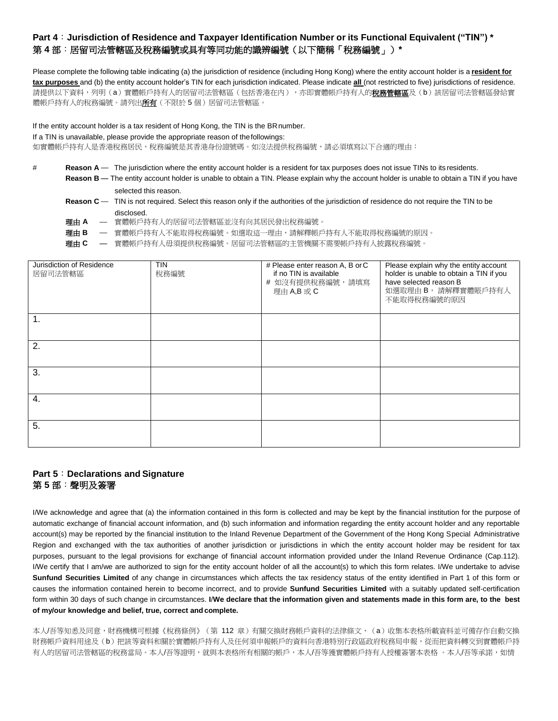# **Part 4**:**Jurisdiction of Residence and Taxpayer Identification Number or its Functional Equivalent ("TIN") \*** 第 **4** 部:居留司法管轄區及稅務編號或具有等同功能的識辨編號(以下簡稱「稅務編號」)**\***

Please complete the following table indicating (a) the jurisdiction of residence (including Hong Kong) where the entity account holder is a **resident for** tax **purposes** and (b) the entity account holder's TIN for each jurisdiction indicated. Please indicate **all** (not restricted to five) jurisdictions of residence. 請提供以下資料,列明(a)實體帳戶持有人的居留司法管轄區(包括香港在內),亦即實體帳戶持有人的**稅務管轄區**及(b)該居留司法管轄區發給實 體帳戶持有人的稅務編號。請列出<u>所有</u>(不限於 5 個)居留司法管轄區。

If the entity account holder is a tax resident of Hong Kong, the TIN is the BRnumber. If a TIN is unavailable, please provide the appropriate reason of thefollowings: 如實體帳戶持有人是香港稅務居民,稅務編號是其香港身份證號碼。如沒法提供稅務編號,請必須填寫以下合適的理由:

# **Reason A** ─ The jurisdiction where the entity account holder is a resident for tax purposes does not issue TINs to its residents.

- **Reason B** The entity account holder is unable to obtain a TIN. Please explain why the account holder is unable to obtain a TIN if you have selected this reason.
- **Reason C** ─ TIN is not required. Select this reason only if the authorities of the jurisdiction of residence do not require the TIN to be disclosed.
- 理由 **A** ─ 實體帳戶持有人的居留司法管轄區並沒有向其居民發出稅務編號。
- 理由 **B** ─ 實體帳戶持有人不能取得稅務編號。如選取這一理由,請解釋帳戶持有人不能取得稅務編號的原因。

理由 **C** ─ 實體帳戶持有人毋須提供稅務編號。居留司法管轄區的主管機關不需要帳戶持有人披露稅務編號。

| Jurisdiction of Residence<br>居留司法管轄區 | <b>TIN</b><br>稅務編號 | # Please enter reason A, B or C<br>if no TIN is available<br># 如沒有提供稅務編號, 請填寫<br>理由 A,B 或 C | Please explain why the entity account<br>holder is unable to obtain a TIN if you<br>have selected reason B<br>如選取理由 B, 請解釋實體賬戶持有人<br>不能取得稅務編號的原因 |
|--------------------------------------|--------------------|---------------------------------------------------------------------------------------------|--------------------------------------------------------------------------------------------------------------------------------------------------|
| 1.                                   |                    |                                                                                             |                                                                                                                                                  |
| 2.                                   |                    |                                                                                             |                                                                                                                                                  |
| 3.                                   |                    |                                                                                             |                                                                                                                                                  |
| 4.                                   |                    |                                                                                             |                                                                                                                                                  |
| 5.                                   |                    |                                                                                             |                                                                                                                                                  |

## **Part 5**:**Declarations and Signature** 第 **5** 部:聲明及簽署

I/We acknowledge and agree that (a) the information contained in this form is collected and may be kept by the financial institution for the purpose of automatic exchange of financial account information, and (b) such information and information regarding the entity account holder and any reportable account(s) may be reported by the financial institution to the Inland Revenue Department of the Government of the Hong Kong Special Administrative Region and exchanged with the tax authorities of another jurisdiction or jurisdictions in which the entity account holder may be resident for tax purposes, pursuant to the legal provisions for exchange of financial account information provided under the Inland Revenue Ordinance (Cap.112). I/We certify that I am/we are authorized to sign for the entity account holder of all the account(s) to which this form relates. I/We undertake to advise **Sunfund Securities Limited** of any change in circumstances which affects the tax residency status of the entity identified in Part 1 of this form or causes the information contained herein to become incorrect, and to provide **Sunfund Securities Limited** with a suitably updated self-certification form within 30 days of such change in circumstances. **I**/**We declare that the information given and statements made in this form are, to the best of my/our knowledge and belief, true, correct and complete.**

本人/吾等知悉及同意,財務機構可根據《稅務條例》(第 112 章)有關交換財務帳戶資料的法律條文,(a)收集本表格所載資料並可備存作自動交換 財務帳戶資料用途及(b)把該等資料和關於實體帳戶持有人及任何須申報帳戶的資料向香港特別行政區政府稅務局申報,從而把資料轉交到實體帳戶持 有人的居留司法管轄區的稅務當局。本人/吾等證明,就與本表格所有相關的帳戶,本人/吾等獲實體帳戶持有人授權簽署本表格 。本人/吾等承諾,如情